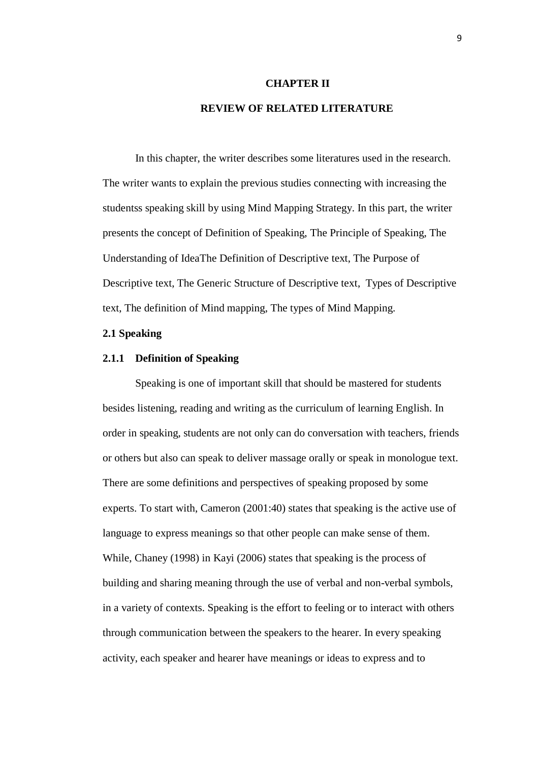### **CHAPTER II**

# **REVIEW OF RELATED LITERATURE**

In this chapter, the writer describes some literatures used in the research. The writer wants to explain the previous studies connecting with increasing the studentss speaking skill by using Mind Mapping Strategy. In this part, the writer presents the concept of Definition of Speaking, The Principle of Speaking, The Understanding of IdeaThe Definition of Descriptive text, The Purpose of Descriptive text, The Generic Structure of Descriptive text, Types of Descriptive text, The definition of Mind mapping, The types of Mind Mapping.

#### **2.1 Speaking**

#### **2.1.1 Definition of Speaking**

Speaking is one of important skill that should be mastered for students besides listening, reading and writing as the curriculum of learning English. In order in speaking, students are not only can do conversation with teachers, friends or others but also can speak to deliver massage orally or speak in monologue text. There are some definitions and perspectives of speaking proposed by some experts. To start with, Cameron (2001:40) states that speaking is the active use of language to express meanings so that other people can make sense of them. While, Chaney (1998) in Kayi (2006) states that speaking is the process of building and sharing meaning through the use of verbal and non-verbal symbols, in a variety of contexts. Speaking is the effort to feeling or to interact with others through communication between the speakers to the hearer. In every speaking activity, each speaker and hearer have meanings or ideas to express and to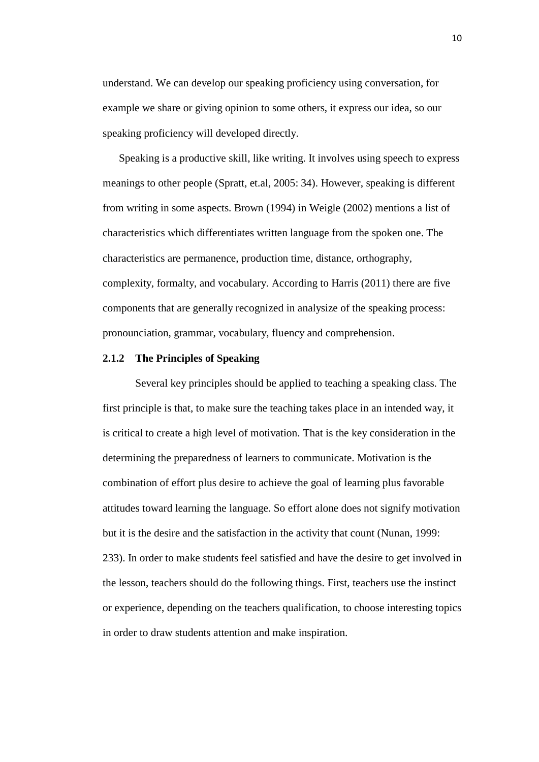understand. We can develop our speaking proficiency using conversation, for example we share or giving opinion to some others, it express our idea, so our speaking proficiency will developed directly.

Speaking is a productive skill, like writing. It involves using speech to express meanings to other people (Spratt, et.al, 2005: 34). However, speaking is different from writing in some aspects. Brown (1994) in Weigle (2002) mentions a list of characteristics which differentiates written language from the spoken one. The characteristics are permanence, production time, distance, orthography, complexity, formalty, and vocabulary. According to Harris (2011) there are five components that are generally recognized in analysize of the speaking process: pronounciation, grammar, vocabulary, fluency and comprehension.

### **2.1.2 The Principles of Speaking**

Several key principles should be applied to teaching a speaking class. The first principle is that, to make sure the teaching takes place in an intended way, it is critical to create a high level of motivation. That is the key consideration in the determining the preparedness of learners to communicate. Motivation is the combination of effort plus desire to achieve the goal of learning plus favorable attitudes toward learning the language. So effort alone does not signify motivation but it is the desire and the satisfaction in the activity that count (Nunan, 1999: 233). In order to make students feel satisfied and have the desire to get involved in the lesson, teachers should do the following things. First, teachers use the instinct or experience, depending on the teachers qualification, to choose interesting topics in order to draw students attention and make inspiration.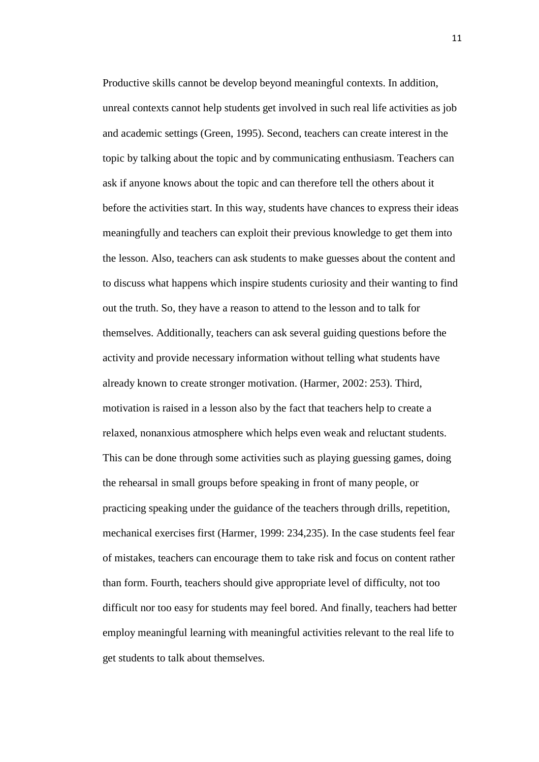Productive skills cannot be develop beyond meaningful contexts. In addition, unreal contexts cannot help students get involved in such real life activities as job and academic settings (Green, 1995). Second, teachers can create interest in the topic by talking about the topic and by communicating enthusiasm. Teachers can ask if anyone knows about the topic and can therefore tell the others about it before the activities start. In this way, students have chances to express their ideas meaningfully and teachers can exploit their previous knowledge to get them into the lesson. Also, teachers can ask students to make guesses about the content and to discuss what happens which inspire students curiosity and their wanting to find out the truth. So, they have a reason to attend to the lesson and to talk for themselves. Additionally, teachers can ask several guiding questions before the activity and provide necessary information without telling what students have already known to create stronger motivation. (Harmer, 2002: 253). Third, motivation is raised in a lesson also by the fact that teachers help to create a relaxed, nonanxious atmosphere which helps even weak and reluctant students. This can be done through some activities such as playing guessing games, doing the rehearsal in small groups before speaking in front of many people, or practicing speaking under the guidance of the teachers through drills, repetition, mechanical exercises first (Harmer, 1999: 234,235). In the case students feel fear of mistakes, teachers can encourage them to take risk and focus on content rather than form. Fourth, teachers should give appropriate level of difficulty, not too difficult nor too easy for students may feel bored. And finally, teachers had better employ meaningful learning with meaningful activities relevant to the real life to get students to talk about themselves.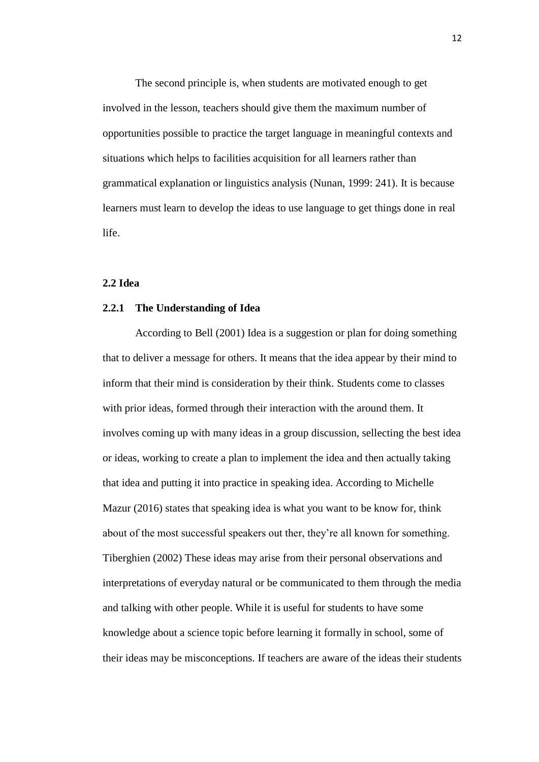The second principle is, when students are motivated enough to get involved in the lesson, teachers should give them the maximum number of opportunities possible to practice the target language in meaningful contexts and situations which helps to facilities acquisition for all learners rather than grammatical explanation or linguistics analysis (Nunan, 1999: 241). It is because learners must learn to develop the ideas to use language to get things done in real life.

## **2.2 Idea**

#### **2.2.1 The Understanding of Idea**

According to Bell (2001) Idea is a suggestion or plan for doing something that to deliver a message for others. It means that the idea appear by their mind to inform that their mind is consideration by their think. Students come to classes with prior ideas, formed through their interaction with the around them. It involves coming up with many ideas in a group discussion, sellecting the best idea or ideas, working to create a plan to implement the idea and then actually taking that idea and putting it into practice in speaking idea. According to Michelle Mazur (2016) states that speaking idea is what you want to be know for, think about of the most successful speakers out ther, they're all known for something. Tiberghien (2002) These ideas may arise from their personal observations and interpretations of everyday natural or be communicated to them through the media and talking with other people. While it is useful for students to have some knowledge about a science topic before learning it formally in school, some of their ideas may be misconceptions. If teachers are aware of the ideas their students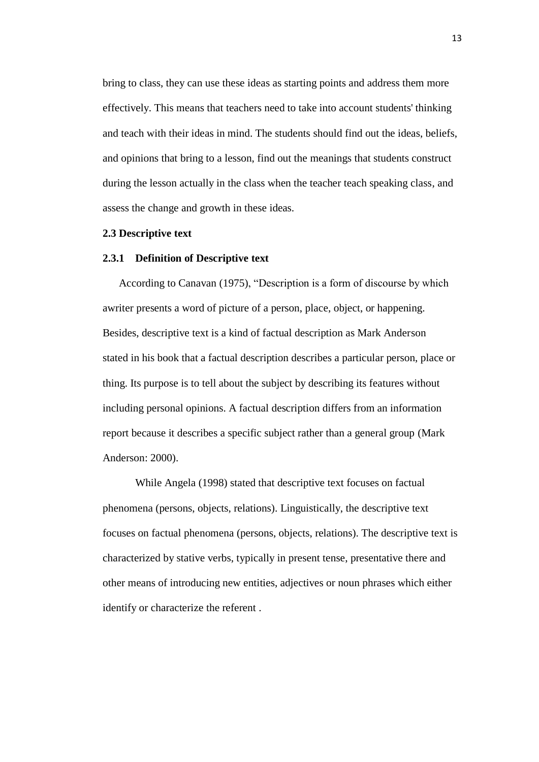bring to class, they can use these ideas as starting points and address them more effectively. This means that teachers need to take into account students' thinking and teach with their ideas in mind. The students should find out the ideas, beliefs, and opinions that bring to a lesson, find out the meanings that students construct during the lesson actually in the class when the teacher teach speaking class, and assess the change and growth in these ideas.

# **2.3 Descriptive text**

# **2.3.1 Definition of Descriptive text**

According to Canavan (1975), "Description is a form of discourse by which awriter presents a word of picture of a person, place, object, or happening. Besides, descriptive text is a kind of factual description as Mark Anderson stated in his book that a factual description describes a particular person, place or thing. Its purpose is to tell about the subject by describing its features without including personal opinions. A factual description differs from an information report because it describes a specific subject rather than a general group (Mark Anderson: 2000).

While Angela (1998) stated that descriptive text focuses on factual phenomena (persons, objects, relations). Linguistically, the descriptive text focuses on factual phenomena (persons, objects, relations). The descriptive text is characterized by stative verbs, typically in present tense, presentative there and other means of introducing new entities, adjectives or noun phrases which either identify or characterize the referent .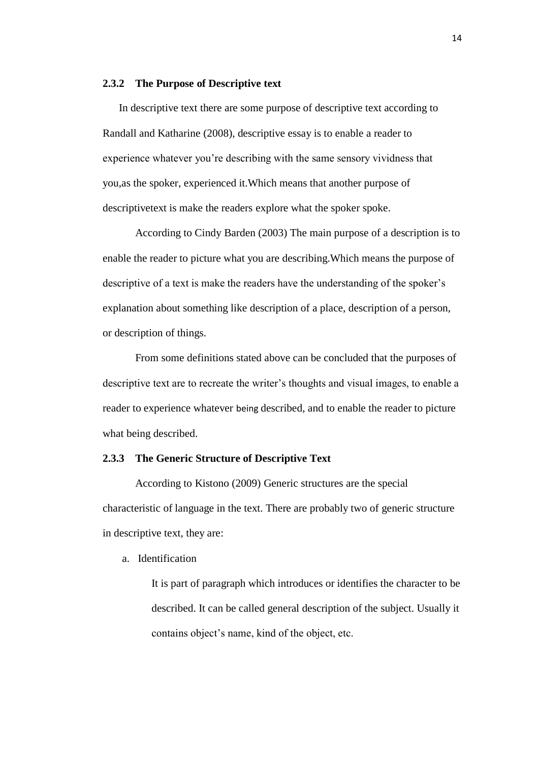#### **2.3.2 The Purpose of Descriptive text**

In descriptive text there are some purpose of descriptive text according to Randall and Katharine (2008), descriptive essay is to enable a reader to experience whatever you're describing with the same sensory vividness that you,as the spoker, experienced it.Which means that another purpose of descriptivetext is make the readers explore what the spoker spoke.

According to Cindy Barden (2003) The main purpose of a description is to enable the reader to picture what you are describing.Which means the purpose of descriptive of a text is make the readers have the understanding of the spoker's explanation about something like description of a place, description of a person, or description of things.

From some definitions stated above can be concluded that the purposes of descriptive text are to recreate the writer's thoughts and visual images, to enable a reader to experience whatever being described, and to enable the reader to picture what being described.

### **2.3.3 The Generic Structure of Descriptive Text**

According to Kistono (2009) Generic structures are the special characteristic of language in the text. There are probably two of generic structure in descriptive text, they are:

a. Identification

It is part of paragraph which introduces or identifies the character to be described. It can be called general description of the subject. Usually it contains object's name, kind of the object, etc.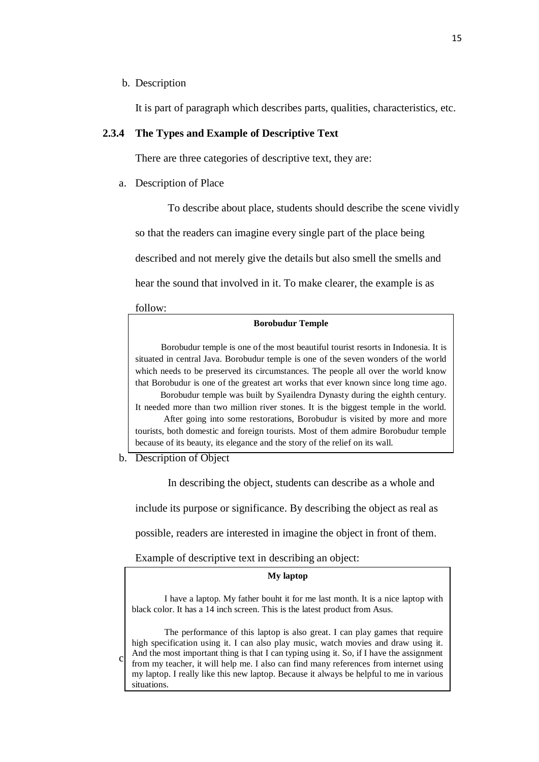### b. Description

It is part of paragraph which describes parts, qualities, characteristics, etc.

# **2.3.4 The Types and Example of Descriptive Text**

There are three categories of descriptive text, they are:

a. Description of Place

To describe about place, students should describe the scene vividly so that the readers can imagine every single part of the place being described and not merely give the details but also smell the smells and hear the sound that involved in it. To make clearer, the example is as

follow:

#### **Borobudur Temple**

Borobudur temple is one of the most beautiful tourist resorts in Indonesia. It is situated in central Java. Borobudur temple is one of the seven wonders of the world which needs to be preserved its circumstances. The people all over the world know that Borobudur is one of the greatest art works that ever known since long time ago. Borobudur temple was built by Syailendra Dynasty during the eighth century. It needed more than two million river stones. It is the biggest temple in the world. After going into some restorations, Borobudur is visited by more and more tourists, both domestic and foreign tourists. Most of them admire Borobudur temple because of its beauty, its elegance and the story of the relief on its wall.

b. Description of Object

In describing the object, students can describe as a whole and

include its purpose or significance. By describing the object as real as

possible, readers are interested in imagine the object in front of them.

Example of descriptive text in describing an object:

#### **My laptop**

I have a laptop. My father bouht it for me last month. It is a nice laptop with black color. It has a 14 inch screen. This is the latest product from Asus.

 $c_{\parallel}$  And the most important thing is that I can typing using it. So, if I have the assignment from my teacher, it will help me. I also can find many references from internet using The performance of this laptop is also great. I can play games that require high specification using it. I can also play music, watch movies and draw using it. And the most important thing is that I can typing using it. So, if I have the assignment my laptop. I really like this new laptop. Because it always be helpful to me in various situations.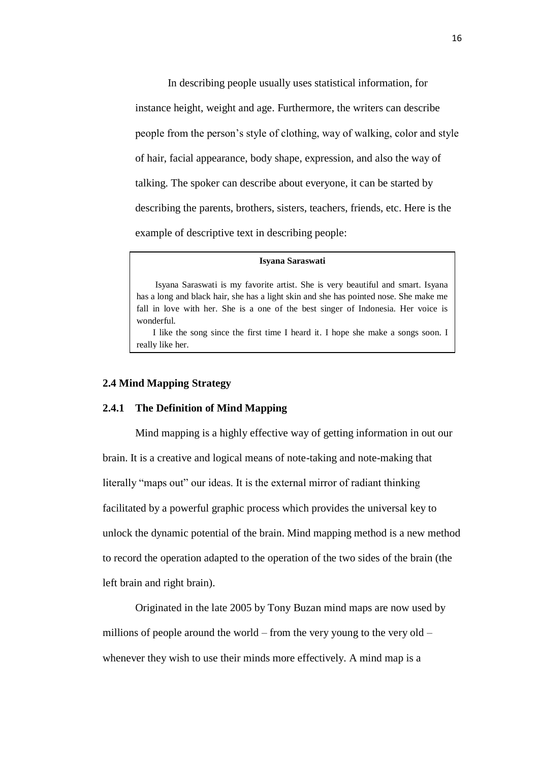In describing people usually uses statistical information, for instance height, weight and age. Furthermore, the writers can describe people from the person's style of clothing, way of walking, color and style of hair, facial appearance, body shape, expression, and also the way of talking. The spoker can describe about everyone, it can be started by describing the parents, brothers, sisters, teachers, friends, etc. Here is the example of descriptive text in describing people:

#### **Isyana Saraswati**

Isyana Saraswati is my favorite artist. She is very beautiful and smart. Isyana has a long and black hair, she has a light skin and she has pointed nose. She make me fall in love with her. She is a one of the best singer of Indonesia. Her voice is wonderful.

I like the song since the first time I heard it. I hope she make a songs soon. I really like her.

## **2.4 Mind Mapping Strategy**

#### **2.4.1 The Definition of Mind Mapping**

Mind mapping is a highly effective way of getting information in out our brain. It is a creative and logical means of note-taking and note-making that literally "maps out" our ideas. It is the external mirror of radiant thinking facilitated by a powerful graphic process which provides the universal key to unlock the dynamic potential of the brain. Mind mapping method is a new method to record the operation adapted to the operation of the two sides of the brain (the left brain and right brain).

Originated in the late 2005 by Tony Buzan mind maps are now used by millions of people around the world – from the very young to the very old – whenever they wish to use their minds more effectively. A mind map is a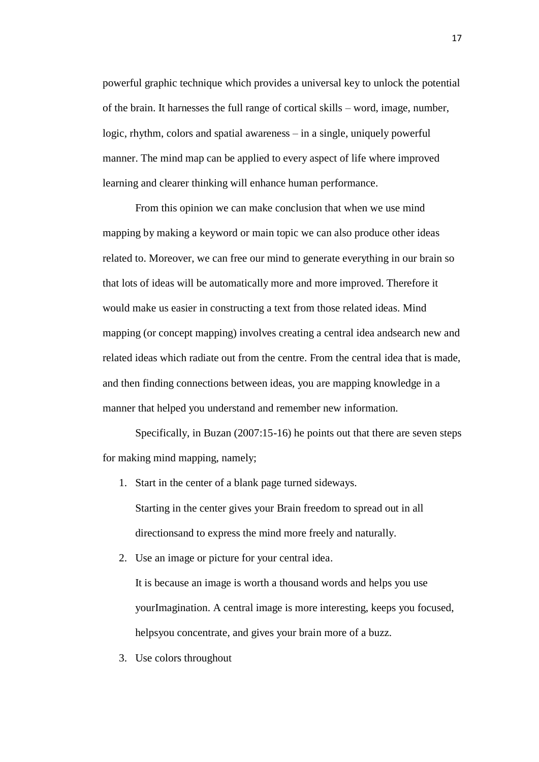powerful graphic technique which provides a universal key to unlock the potential of the brain. It harnesses the full range of cortical skills – word, image, number, logic, rhythm, colors and spatial awareness – in a single, uniquely powerful manner. The mind map can be applied to every aspect of life where improved learning and clearer thinking will enhance human performance.

From this opinion we can make conclusion that when we use mind mapping by making a keyword or main topic we can also produce other ideas related to. Moreover, we can free our mind to generate everything in our brain so that lots of ideas will be automatically more and more improved. Therefore it would make us easier in constructing a text from those related ideas. Mind mapping (or concept mapping) involves creating a central idea andsearch new and related ideas which radiate out from the centre. From the central idea that is made, and then finding connections between ideas, you are mapping knowledge in a manner that helped you understand and remember new information.

Specifically, in Buzan (2007:15-16) he points out that there are seven steps for making mind mapping, namely;

- 1. Start in the center of a blank page turned sideways. Starting in the center gives your Brain freedom to spread out in all directionsand to express the mind more freely and naturally.
- 2. Use an image or picture for your central idea. It is because an image is worth a thousand words and helps you use yourImagination. A central image is more interesting, keeps you focused, helpsyou concentrate, and gives your brain more of a buzz.
- 3. Use colors throughout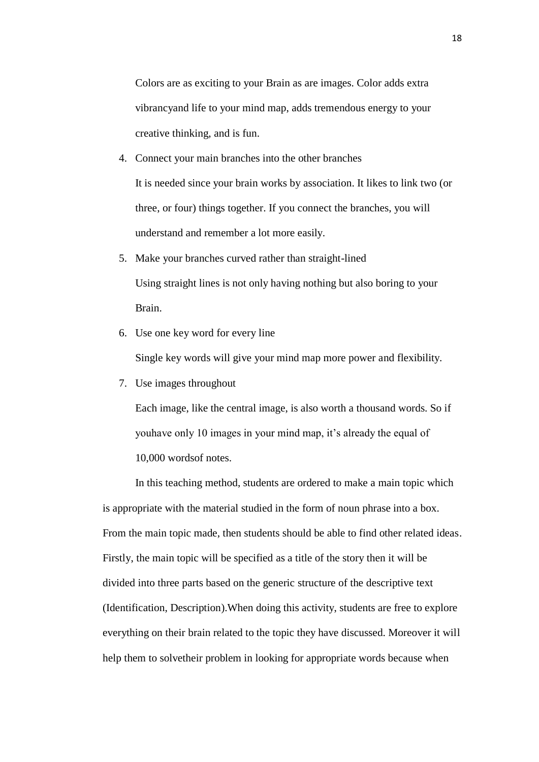Colors are as exciting to your Brain as are images. Color adds extra vibrancyand life to your mind map, adds tremendous energy to your creative thinking, and is fun.

- 4. Connect your main branches into the other branches It is needed since your brain works by association. It likes to link two (or three, or four) things together. If you connect the branches, you will understand and remember a lot more easily.
- 5. Make your branches curved rather than straight-lined Using straight lines is not only having nothing but also boring to your Brain.
- 6. Use one key word for every line

Single key words will give your mind map more power and flexibility.

7. Use images throughout

Each image, like the central image, is also worth a thousand words. So if youhave only 10 images in your mind map, it's already the equal of 10,000 wordsof notes.

In this teaching method, students are ordered to make a main topic which is appropriate with the material studied in the form of noun phrase into a box. From the main topic made, then students should be able to find other related ideas. Firstly, the main topic will be specified as a title of the story then it will be divided into three parts based on the generic structure of the descriptive text (Identification, Description).When doing this activity, students are free to explore everything on their brain related to the topic they have discussed. Moreover it will help them to solvetheir problem in looking for appropriate words because when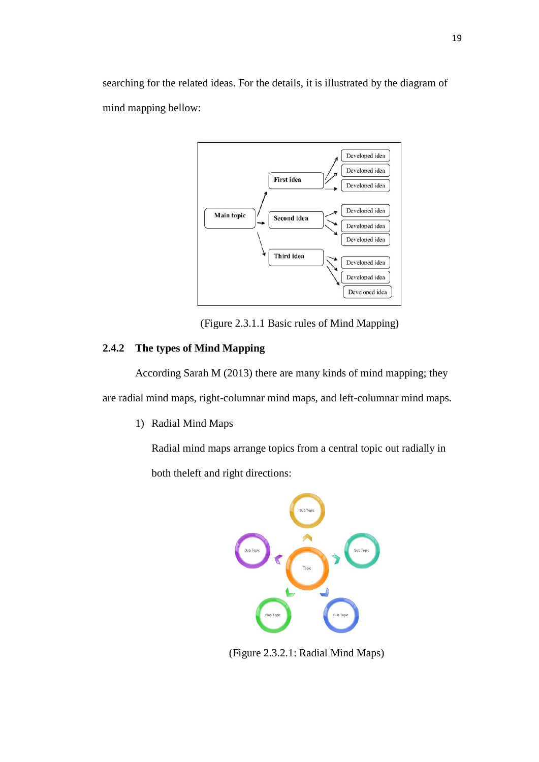searching for the related ideas. For the details, it is illustrated by the diagram of mind mapping bellow:



(Figure 2.3.1.1 Basic rules of Mind Mapping)

# **2.4.2 The types of Mind Mapping**

According Sarah M (2013) there are many kinds of mind mapping; they are radial mind maps, right-columnar mind maps, and left-columnar mind maps.

1) Radial Mind Maps

Radial mind maps arrange topics from a central topic out radially in both theleft and right directions:



(Figure 2.3.2.1: Radial Mind Maps)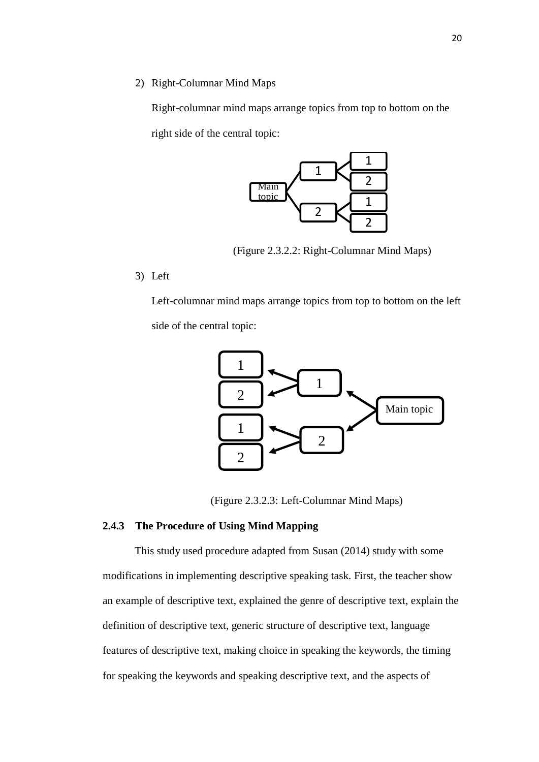2) Right-Columnar Mind Maps

Right-columnar mind maps arrange topics from top to bottom on the right side of the central topic:



(Figure 2.3.2.2: Right-Columnar Mind Maps)

3) Left

Left-columnar mind maps arrange topics from top to bottom on the left side of the central topic:



(Figure 2.3.2.3: Left-Columnar Mind Maps)

# **2.4.3 The Procedure of Using Mind Mapping**

This study used procedure adapted from Susan (2014) study with some modifications in implementing descriptive speaking task. First, the teacher show an example of descriptive text, explained the genre of descriptive text, explain the definition of descriptive text, generic structure of descriptive text, language features of descriptive text, making choice in speaking the keywords, the timing for speaking the keywords and speaking descriptive text, and the aspects of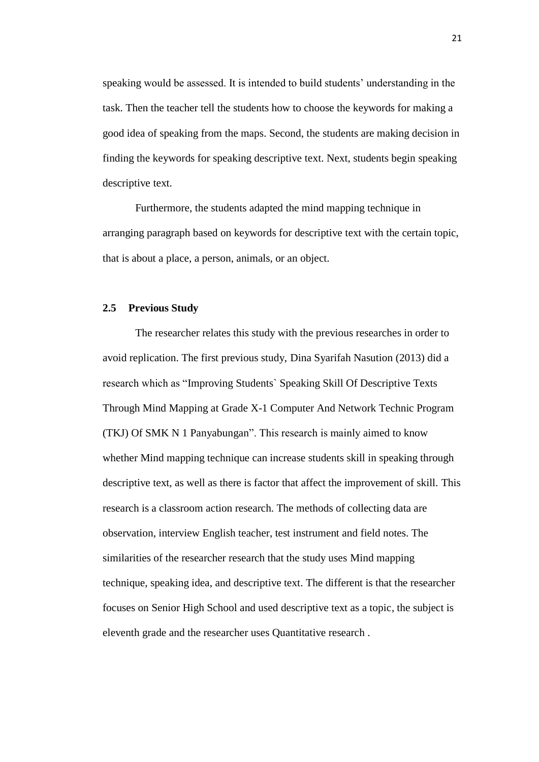speaking would be assessed. It is intended to build students' understanding in the task. Then the teacher tell the students how to choose the keywords for making a good idea of speaking from the maps. Second, the students are making decision in finding the keywords for speaking descriptive text. Next, students begin speaking descriptive text.

Furthermore, the students adapted the mind mapping technique in arranging paragraph based on keywords for descriptive text with the certain topic, that is about a place, a person, animals, or an object.

#### **2.5 Previous Study**

The researcher relates this study with the previous researches in order to avoid replication. The first previous study, Dina Syarifah Nasution (2013) did a research which as "Improving Students` Speaking Skill Of Descriptive Texts Through Mind Mapping at Grade X-1 Computer And Network Technic Program (TKJ) Of SMK N 1 Panyabungan". This research is mainly aimed to know whether Mind mapping technique can increase students skill in speaking through descriptive text, as well as there is factor that affect the improvement of skill. This research is a classroom action research. The methods of collecting data are observation, interview English teacher, test instrument and field notes. The similarities of the researcher research that the study uses Mind mapping technique, speaking idea, and descriptive text. The different is that the researcher focuses on Senior High School and used descriptive text as a topic, the subject is eleventh grade and the researcher uses Quantitative research .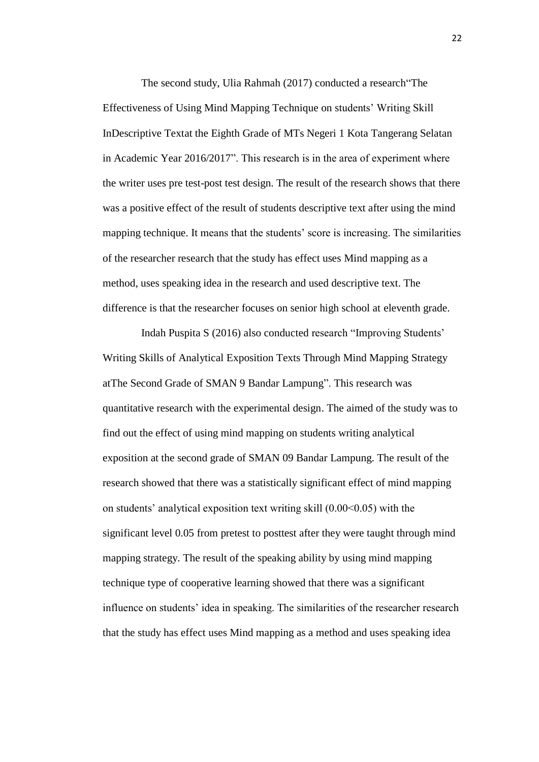The second study, Ulia Rahmah (2017) conducted a research"The Effectiveness of Using Mind Mapping Technique on students' Writing Skill InDescriptive Textat the Eighth Grade of MTs Negeri 1 Kota Tangerang Selatan in Academic Year 2016/2017". This research is in the area of experiment where the writer uses pre test-post test design. The result of the research shows that there was a positive effect of the result of students descriptive text after using the mind mapping technique. It means that the students' score is increasing. The similarities of the researcher research that the study has effect uses Mind mapping as a method, uses speaking idea in the research and used descriptive text. The difference is that the researcher focuses on senior high school at eleventh grade.

Indah Puspita S (2016) also conducted research "Improving Students' Writing Skills of Analytical Exposition Texts Through Mind Mapping Strategy atThe Second Grade of SMAN 9 Bandar Lampung". This research was quantitative research with the experimental design. The aimed of the study was to find out the effect of using mind mapping on students writing analytical exposition at the second grade of SMAN 09 Bandar Lampung. The result of the research showed that there was a statistically significant effect of mind mapping on students' analytical exposition text writing skill  $(0.00<0.05)$  with the significant level 0.05 from pretest to posttest after they were taught through mind mapping strategy. The result of the speaking ability by using mind mapping technique type of cooperative learning showed that there was a significant influence on students' idea in speaking. The similarities of the researcher research that the study has effect uses Mind mapping as a method and uses speaking idea